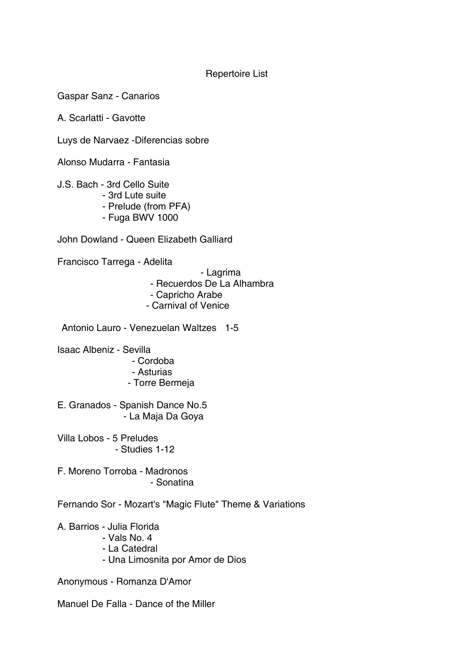## Repertoire List

Gaspar Sanz - Canarios

A. Scarlatti - Gavotte

Luys de Narvaez -Diferencias sobre

Alonso Mudarra - Fantasia

J.S. Bach - 3rd Cello Suite

- 3rd Lute suite
- Prelude (from PFA)
- Fuga BWV 1000

John Dowland - Queen Elizabeth Galliard

Francisco Tarrega - Adelita

- Lagrima

- Recuerdos De La Alhambra

- Capricho Arabe
- Carnival of Venice

Antonio Lauro - Venezuelan Waltzes 1-5

Isaac Albeniz - Sevilla

- Cordoba
- Asturias
- Torre Bermeja

E. Granados - Spanish Dance No.5 - La Maja Da Goya

Villa Lobos - 5 Preludes - Studies 1-12

F. Moreno Torroba - Madronos - Sonatina

Fernando Sor - Mozart's "Magic Flute" Theme & Variations

A. Barrios - Julia Florida

- Vals No. 4
- La Catedral
- Una Limosnita por Amor de Dios

Anonymous - Romanza D'Amor

Manuel De Falla - Dance of the Miller